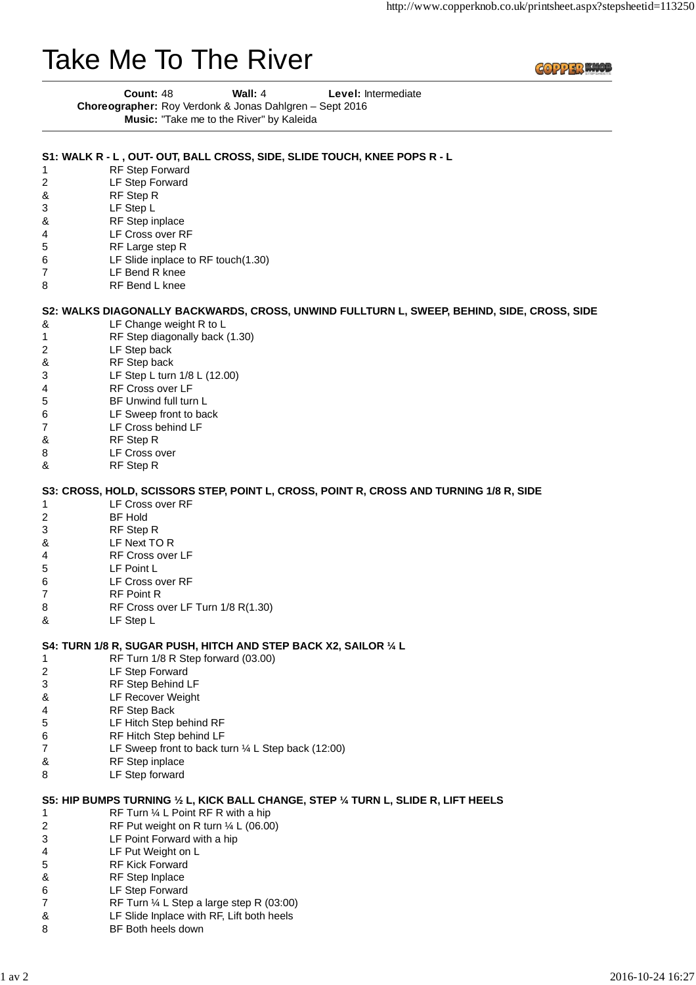# Take Me To The River

**COPPER WOU** 

| Count: 48 | Wall: $4$                                                      | <b>Level:</b> Intermediate |
|-----------|----------------------------------------------------------------|----------------------------|
|           | <b>Choreographer:</b> Roy Verdonk & Jonas Dahlgren – Sept 2016 |                            |
|           | Music: "Take me to the River" by Kaleida                       |                            |

**S1: WALK R - L , OUT- OUT, BALL CROSS, SIDE, SLIDE TOUCH, KNEE POPS R - L**

#### 1 RF Step Forward 2 LF Step Forward & RF Step R 3 LF Step L & RF Step inplace 4 LF Cross over RF 5 RF Large step R 6 LF Slide inplace to RF touch(1.30) 7 LF Bend R knee 8 RF Bend L knee & LF Change weight R to L 1 RF Step diagonally back (1.30) 2 LF Step back & RF Step back 3 LF Step L turn 1/8 L (12.00) 4 RF Cross over LF 5 BF Unwind full turn L 6 LF Sweep front to back 7 LF Cross behind LF & RF Step R 8 LF Cross over & RF Step R 1 LF Cross over RF 2 BF Hold 3 RF Step R & LF Next TO R 4 RF Cross over LF 5 LF Point L 6 LF Cross over RF 7 RF Point R 8 RF Cross over LF Turn 1/8 R(1.30) & LF Step L 1 RF Turn 1/8 R Step forward (03.00) 2 LF Step Forward 3 RF Step Behind LF & LF Recover Weight 4 RF Step Back 5 LF Hitch Step behind RF 6 RF Hitch Step behind LF 7 LF Sweep front to back turn ¼ L Step back (12:00) & RF Step inplace 8 LF Step forward 1 RF Turn ¼ L Point RF R with a hip 2 RF Put weight on R turn ¼ L (06.00) 3 LF Point Forward with a hip 4 LF Put Weight on L 5 RF Kick Forward & RF Step Inplace 6 LF Step Forward 7 RF Turn ¼ L Step a large step R (03:00) & LF Slide Inplace with RF, Lift both heels 8 BF Both heels down **S2: WALKS DIAGONALLY BACKWARDS, CROSS, UNWIND FULLTURN L, SWEEP, BEHIND, SIDE, CROSS, SIDE S3: CROSS, HOLD, SCISSORS STEP, POINT L, CROSS, POINT R, CROSS AND TURNING 1/8 R, SIDE S4: TURN 1/8 R, SUGAR PUSH, HITCH AND STEP BACK X2, SAILOR ¼ L S5: HIP BUMPS TURNING ½ L, KICK BALL CHANGE, STEP ¼ TURN L, SLIDE R, LIFT HEELS**